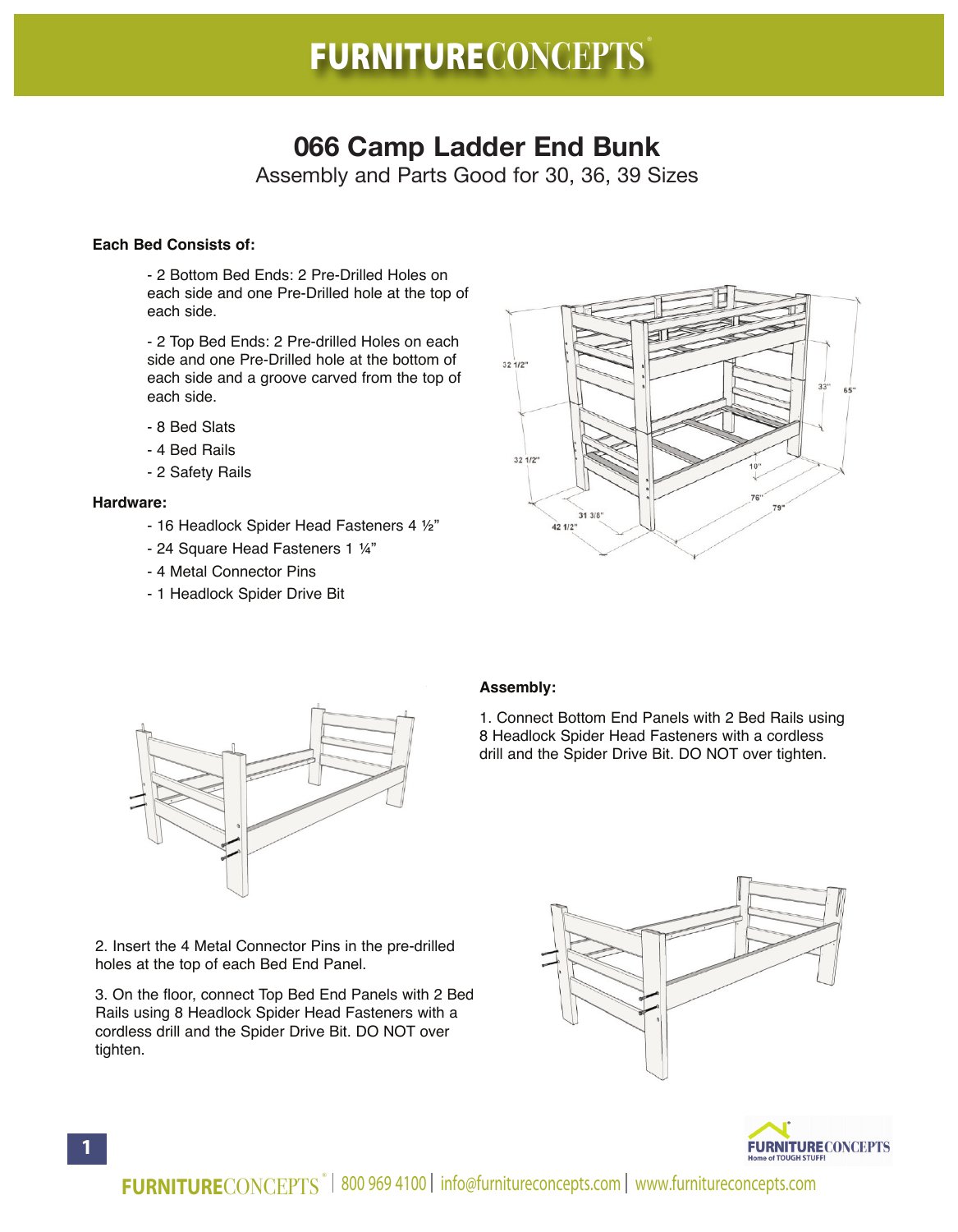# **FURNITURECONCEPTS** ®

## **066 Camp Ladder End Bunk**

Assembly and Parts Good for 30, 36, 39 Sizes

### **Each Bed Consists of:**

- 2 Bottom Bed Ends: 2 Pre-Drilled Holes on each side and one Pre-Drilled hole at the top of each side.

- 2 Top Bed Ends: 2 Pre-drilled Holes on each side and one Pre-Drilled hole at the bottom of each side and a groove carved from the top of each side.

- 8 Bed Slats
- 4 Bed Rails
- 2 Safety Rails

#### **Hardware:**

- 16 Headlock Spider Head Fasteners 4 ½"
- 24 Square Head Fasteners 1 ¼"
- 4 Metal Connector Pins
- 1 Headlock Spider Drive Bit





#### **Assembly:**

1. Connect Bottom End Panels with 2 Bed Rails using 8 Headlock Spider Head Fasteners with a cordless drill and the Spider Drive Bit. DO NOT over tighten.

2. Insert the 4 Metal Connector Pins in the pre-drilled holes at the top of each Bed End Panel.

3. On the floor, connect Top Bed End Panels with 2 Bed Rails using 8 Headlock Spider Head Fasteners with a cordless drill and the Spider Drive Bit. DO NOT over tighten.